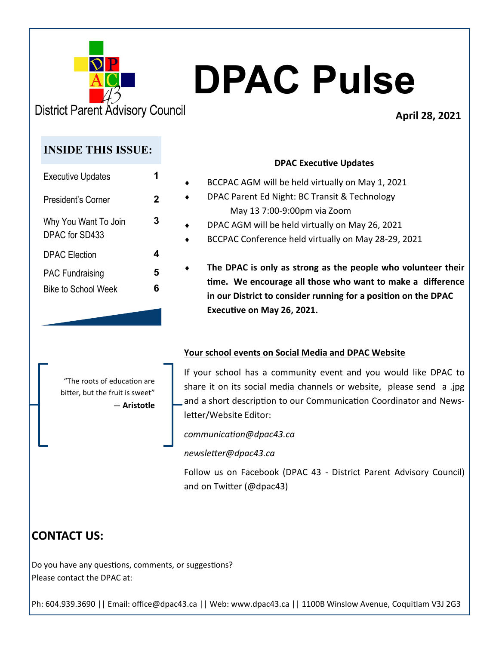

**District Parent Advisory Council** 

#### **April 28, 2021**

### **INSIDE THIS ISSUE:**

| <b>Executive Updates</b>               |   |
|----------------------------------------|---|
| President's Corner                     | 2 |
| Why You Want To Join<br>DPAC for SD433 | 3 |
| <b>DPAC</b> Election                   | Δ |
| <b>PAC Fundraising</b>                 | 5 |
| <b>Bike to School Week</b>             | 6 |

#### **DPAC Executive Updates**

- BCCPAC AGM will be held virtually on May 1, 2021 DPAC Parent Ed Night: BC Transit & Technology May 13 7:00-9:00pm via Zoom DPAC AGM will be held virtually on May 26, 2021
	- BCCPAC Conference held virtually on May 28-29, 2021
	- **The DPAC is only as strong as the people who volunteer their time. We encourage all those who want to make a difference in our District to consider running for a position on the DPAC Executive on May 26, 2021.**

#### **Your school events on Social Media and DPAC Website**

"The roots of education are bitter, but the fruit is sweet" ― **Aristotle** If your school has a community event and you would like DPAC to share it on its social media channels or website, please send a .jpg and a short description to our Communication Coordinator and Newsletter/Website Editor:

*communication@dpac43.ca* 

*newsletter@dpac43.ca*

Follow us on Facebook (DPAC 43 - District Parent Advisory Council) and on Twitter (@dpac43)

# **CONTACT US:**

Do you have any questions, comments, or suggestions? Please contact the DPAC at: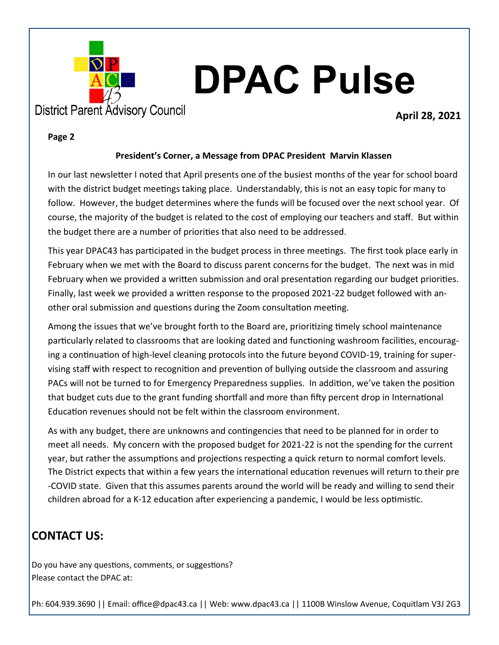

**April 28, 2021**

#### **Page 2**

#### **President's Corner, a Message from DPAC President Marvin Klassen**

In our last newsletter I noted that April presents one of the busiest months of the year for school board with the district budget meetings taking place. Understandably, this is not an easy topic for many to follow. However, the budget determines where the funds will be focused over the next school year. Of course, the majority of the budget is related to the cost of employing our teachers and staff. But within the budget there are a number of priorities that also need to be addressed.

This year DPAC43 has participated in the budget process in three meetings. The first took place early in February when we met with the Board to discuss parent concerns for the budget. The next was in mid February when we provided a written submission and oral presentation regarding our budget priorities. Finally, last week we provided a written response to the proposed 2021-22 budget followed with another oral submission and questions during the Zoom consultation meeting.

Among the issues that we've brought forth to the Board are, prioritizing timely school maintenance particularly related to classrooms that are looking dated and functioning washroom facilities, encouraging a continuation of high-level cleaning protocols into the future beyond COVID-19, training for supervising staff with respect to recognition and prevention of bullying outside the classroom and assuring PACs will not be turned to for Emergency Preparedness supplies. In addition, we've taken the position that budget cuts due to the grant funding shortfall and more than fifty percent drop in International Education revenues should not be felt within the classroom environment.

As with any budget, there are unknowns and contingencies that need to be planned for in order to meet all needs. My concern with the proposed budget for 2021-22 is not the spending for the current year, but rather the assumptions and projections respecting a quick return to normal comfort levels. The District expects that within a few years the international education revenues will return to their pre -COVID state. Given that this assumes parents around the world will be ready and willing to send their children abroad for a K-12 education after experiencing a pandemic, I would be less optimistic.

# **CONTACT US:**

Do you have any questions, comments, or suggestions? Please contact the DPAC at: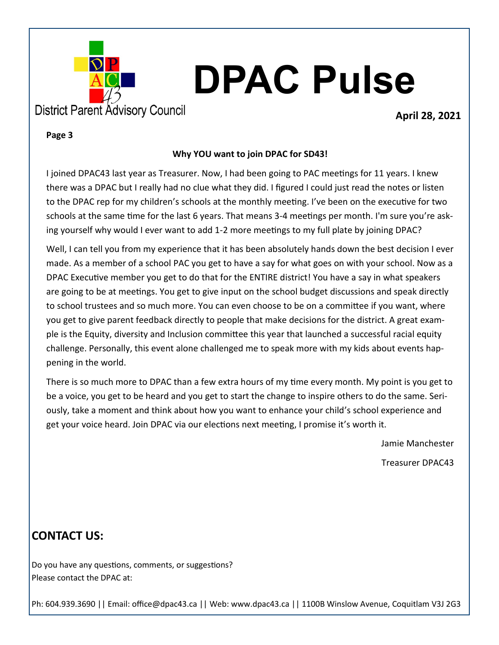

#### **April 28, 2021**

#### **Page 3**

#### **Why YOU want to join DPAC for SD43!**

I joined DPAC43 last year as Treasurer. Now, I had been going to PAC meetings for 11 years. I knew there was a DPAC but I really had no clue what they did. I figured I could just read the notes or listen to the DPAC rep for my children's schools at the monthly meeting. I've been on the executive for two schools at the same time for the last 6 years. That means 3-4 meetings per month. I'm sure you're asking yourself why would I ever want to add 1-2 more meetings to my full plate by joining DPAC?

Well, I can tell you from my experience that it has been absolutely hands down the best decision I ever made. As a member of a school PAC you get to have a say for what goes on with your school. Now as a DPAC Executive member you get to do that for the ENTIRE district! You have a say in what speakers are going to be at meetings. You get to give input on the school budget discussions and speak directly to school trustees and so much more. You can even choose to be on a committee if you want, where you get to give parent feedback directly to people that make decisions for the district. A great example is the Equity, diversity and Inclusion committee this year that launched a successful racial equity challenge. Personally, this event alone challenged me to speak more with my kids about events happening in the world.

There is so much more to DPAC than a few extra hours of my time every month. My point is you get to be a voice, you get to be heard and you get to start the change to inspire others to do the same. Seriously, take a moment and think about how you want to enhance your child's school experience and get your voice heard. Join DPAC via our elections next meeting, I promise it's worth it.

Jamie Manchester

Treasurer DPAC43

### **CONTACT US:**

Do you have any questions, comments, or suggestions? Please contact the DPAC at: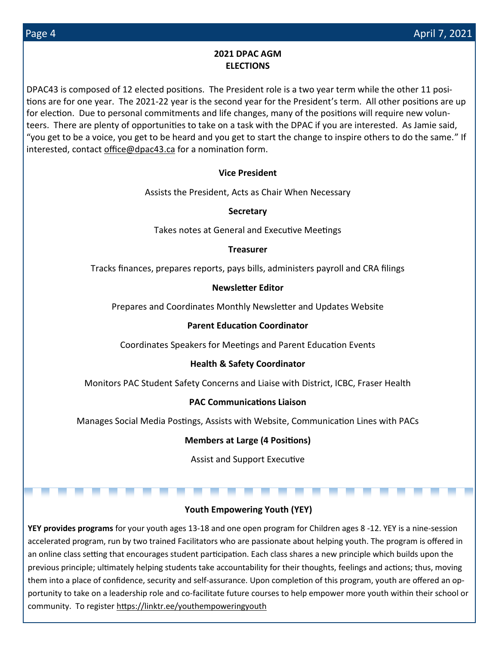#### **2021 DPAC AGM ELECTIONS**

DPAC43 is composed of 12 elected positions. The President role is a two year term while the other 11 positions are for one year. The 2021-22 year is the second year for the President's term. All other positions are up for election. Due to personal commitments and life changes, many of the positions will require new volunteers. There are plenty of opportunities to take on a task with the DPAC if you are interested. As Jamie said, "you get to be a voice, you get to be heard and you get to start the change to inspire others to do the same." If interested, contact [office@dpac43.ca](mailto:office@dpac43.ca) for a nomination form.

#### **Vice President**

Assists the President, Acts as Chair When Necessary

**Secretary** 

Takes notes at General and Executive Meetings

**Treasurer** 

Tracks finances, prepares reports, pays bills, administers payroll and CRA filings

#### **Newsletter Editor**

Prepares and Coordinates Monthly Newsletter and Updates Website

#### **Parent Education Coordinator**

Coordinates Speakers for Meetings and Parent Education Events

#### **Health & Safety Coordinator**

Monitors PAC Student Safety Concerns and Liaise with District, ICBC, Fraser Health

#### **PAC Communications Liaison**

Manages Social Media Postings, Assists with Website, Communication Lines with PACs

#### **Members at Large (4 Positions)**

Assist and Support Executive

#### **Youth Empowering Youth (YEY)**

\_\_

\_

**YEY provides programs** for your youth ages 13-18 and one open program for Children ages 8 -12. YEY is a nine-session accelerated program, run by two trained Facilitators who are passionate about helping youth. The program is offered in an online class setting that encourages student participation. Each class shares a new principle which builds upon the previous principle; ultimately helping students take accountability for their thoughts, feelings and actions; thus, moving them into a place of confidence, security and self-assurance. Upon completion of this program, youth are offered an opportunity to take on a leadership role and co-facilitate future courses to help empower more youth within their school or community. To register<https://linktr.ee/youthempoweringyouth>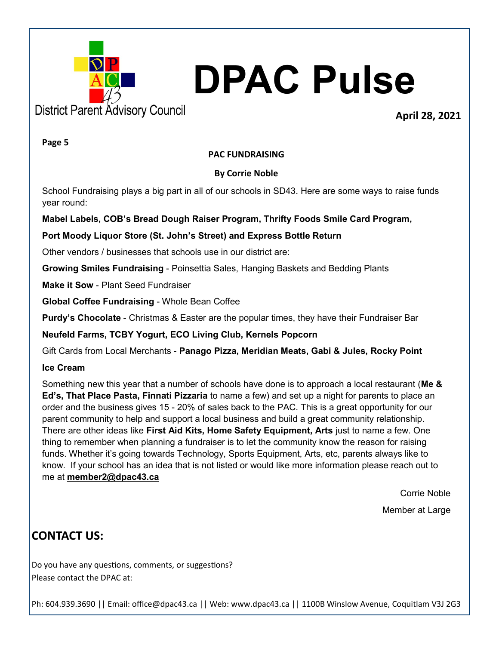

#### **April 28, 2021**

**Page 5**

#### **PAC FUNDRAISING**

#### **By Corrie Noble**

School Fundraising plays a big part in all of our schools in SD43. Here are some ways to raise funds year round:

#### **Mabel Labels, COB's Bread Dough Raiser Program, Thrifty Foods Smile Card Program,**

#### **Port Moody Liquor Store (St. John's Street) and Express Bottle Return**

Other vendors / businesses that schools use in our district are:

**Growing Smiles Fundraising** - Poinsettia Sales, Hanging Baskets and Bedding Plants

**Make it Sow** - Plant Seed Fundraiser

**Global Coffee Fundraising** - Whole Bean Coffee

**Purdy's Chocolate** - Christmas & Easter are the popular times, they have their Fundraiser Bar

**Neufeld Farms, TCBY Yogurt, ECO Living Club, Kernels Popcorn**

Gift Cards from Local Merchants - **Panago Pizza, Meridian Meats, Gabi & Jules, Rocky Point**

#### **Ice Cream**

Something new this year that a number of schools have done is to approach a local restaurant (**Me & Ed's, That Place Pasta, Finnati Pizzaria** to name a few) and set up a night for parents to place an order and the business gives 15 - 20% of sales back to the PAC. This is a great opportunity for our parent community to help and support a local business and build a great community relationship. There are other ideas like **First Aid Kits, Home Safety Equipment, Arts** just to name a few. One thing to remember when planning a fundraiser is to let the community know the reason for raising funds. Whether it's going towards Technology, Sports Equipment, Arts, etc, parents always like to know. If your school has an idea that is not listed or would like more information please reach out to me at **[member2@dpac43.ca](mailto:member2@dpac43.ca)**

Corrie Noble

Member at Large

### **CONTACT US:**

Do you have any questions, comments, or suggestions? Please contact the DPAC at: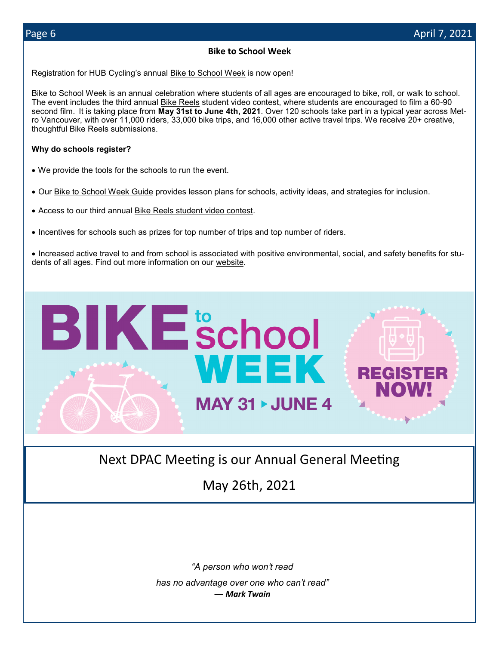#### **Bike to School Week**

Registration for HUB Cycling's annual [Bike to School Week](https://bikehub.ca/bike-to-school/bike-to-school-week) is now open!

Bike to School Week is an annual celebration where students of all ages are encouraged to bike, roll, or walk to school. The event includes the third annual [Bike Reels](https://bikehub.ca/bikereels) student video contest, where students are encouraged to film a 60-90 second film. It is taking place from **May 31st to June 4th, 2021**. Over 120 schools take part in a typical year across Metro Vancouver, with over 11,000 riders, 33,000 bike trips, and 16,000 other active travel trips. We receive 20+ creative, thoughtful Bike Reels submissions.

#### **Why do schools register?**

- We provide the tools for the schools to run the event.
- Our [Bike to School Week Guide](https://bikehub.ca/sites/default/files/imce/bike_to_school_week_guide_-2021.pdf) provides lesson plans for schools, activity ideas, and strategies for inclusion.
- Access to our third annual [Bike Reels student video contest.](https://bikehub.ca/bikereels)
- Incentives for schools such as prizes for top number of trips and top number of riders.

• Increased active travel to and from school is associated with positive environmental, social, and safety benefits for students of all ages. Find out more information on our [website.](https://bikehub.ca/bike-to-school/bike-to-school-week)



Next DPAC Meeting is our Annual General Meeting

May 26th, 2021

*"A person who won't read has no advantage over one who can't read" ― Mark Twain*